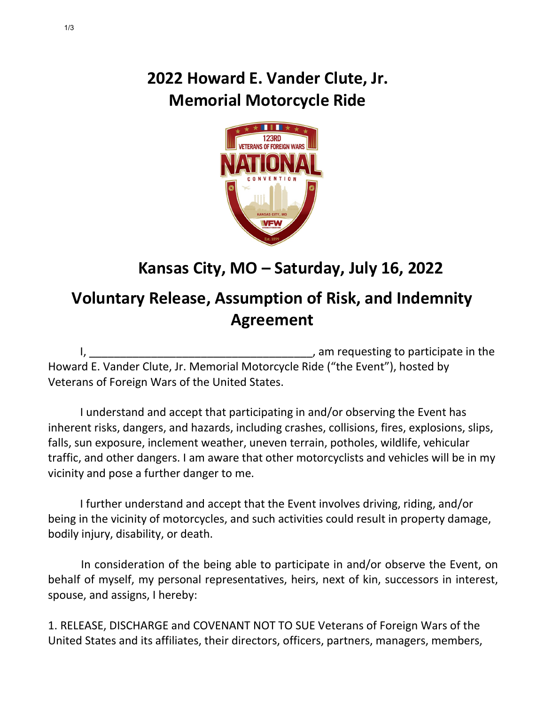## **2022 Howard E. Vander Clute, Jr. Memorial Motorcycle Ride**



## **Kansas City, MO – Saturday, July 16, 2022**

## **Voluntary Release, Assumption of Risk, and Indemnity Agreement**

I, the contract of the contract of the contract of the contract of the contract of the contract of the contract of the contract of the contract of the contract of the contract of the contract of the contract of the contrac Howard E. Vander Clute, Jr. Memorial Motorcycle Ride ("the Event"), hosted by Veterans of Foreign Wars of the United States.

I understand and accept that participating in and/or observing the Event has inherent risks, dangers, and hazards, including crashes, collisions, fires, explosions, slips, falls, sun exposure, inclement weather, uneven terrain, potholes, wildlife, vehicular traffic, and other dangers. I am aware that other motorcyclists and vehicles will be in my vicinity and pose a further danger to me.

I further understand and accept that the Event involves driving, riding, and/or being in the vicinity of motorcycles, and such activities could result in property damage, bodily injury, disability, or death.

In consideration of the being able to participate in and/or observe the Event, on behalf of myself, my personal representatives, heirs, next of kin, successors in interest, spouse, and assigns, I hereby:

1. RELEASE, DISCHARGE and COVENANT NOT TO SUE Veterans of Foreign Wars of the United States and its affiliates, their directors, officers, partners, managers, members,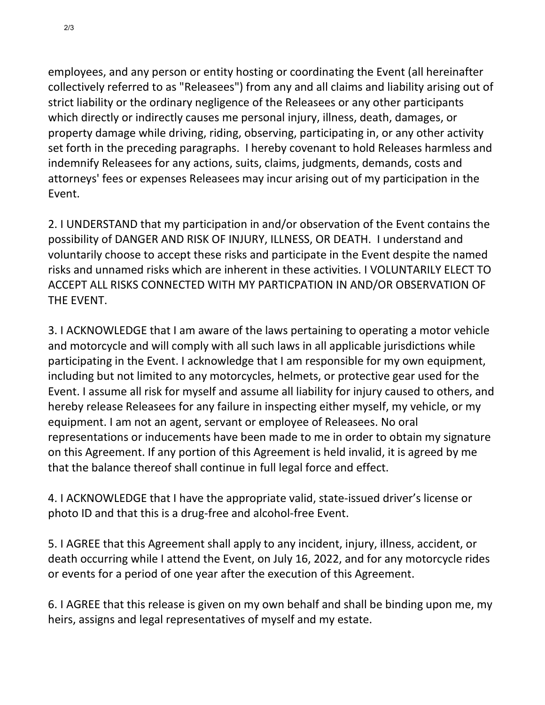employees, and any person or entity hosting or coordinating the Event (all hereinafter collectively referred to as "Releasees") from any and all claims and liability arising out of strict liability or the ordinary negligence of the Releasees or any other participants which directly or indirectly causes me personal injury, illness, death, damages, or property damage while driving, riding, observing, participating in, or any other activity set forth in the preceding paragraphs. I hereby covenant to hold Releases harmless and indemnify Releasees for any actions, suits, claims, judgments, demands, costs and attorneys' fees or expenses Releasees may incur arising out of my participation in the Event.

2. I UNDERSTAND that my participation in and/or observation of the Event contains the possibility of DANGER AND RISK OF INJURY, ILLNESS, OR DEATH. I understand and voluntarily choose to accept these risks and participate in the Event despite the named risks and unnamed risks which are inherent in these activities. I VOLUNTARILY ELECT TO ACCEPT ALL RISKS CONNECTED WITH MY PARTICPATION IN AND/OR OBSERVATION OF THE EVENT.

3. I ACKNOWLEDGE that I am aware of the laws pertaining to operating a motor vehicle and motorcycle and will comply with all such laws in all applicable jurisdictions while participating in the Event. I acknowledge that I am responsible for my own equipment, including but not limited to any motorcycles, helmets, or protective gear used for the Event. I assume all risk for myself and assume all liability for injury caused to others, and hereby release Releasees for any failure in inspecting either myself, my vehicle, or my equipment. I am not an agent, servant or employee of Releasees. No oral representations or inducements have been made to me in order to obtain my signature on this Agreement. If any portion of this Agreement is held invalid, it is agreed by me that the balance thereof shall continue in full legal force and effect.

4. I ACKNOWLEDGE that I have the appropriate valid, state-issued driver's license or photo ID and that this is a drug-free and alcohol-free Event.

5. I AGREE that this Agreement shall apply to any incident, injury, illness, accident, or death occurring while I attend the Event, on July 16, 2022, and for any motorcycle rides or events for a period of one year after the execution of this Agreement.

6. I AGREE that this release is given on my own behalf and shall be binding upon me, my heirs, assigns and legal representatives of myself and my estate.